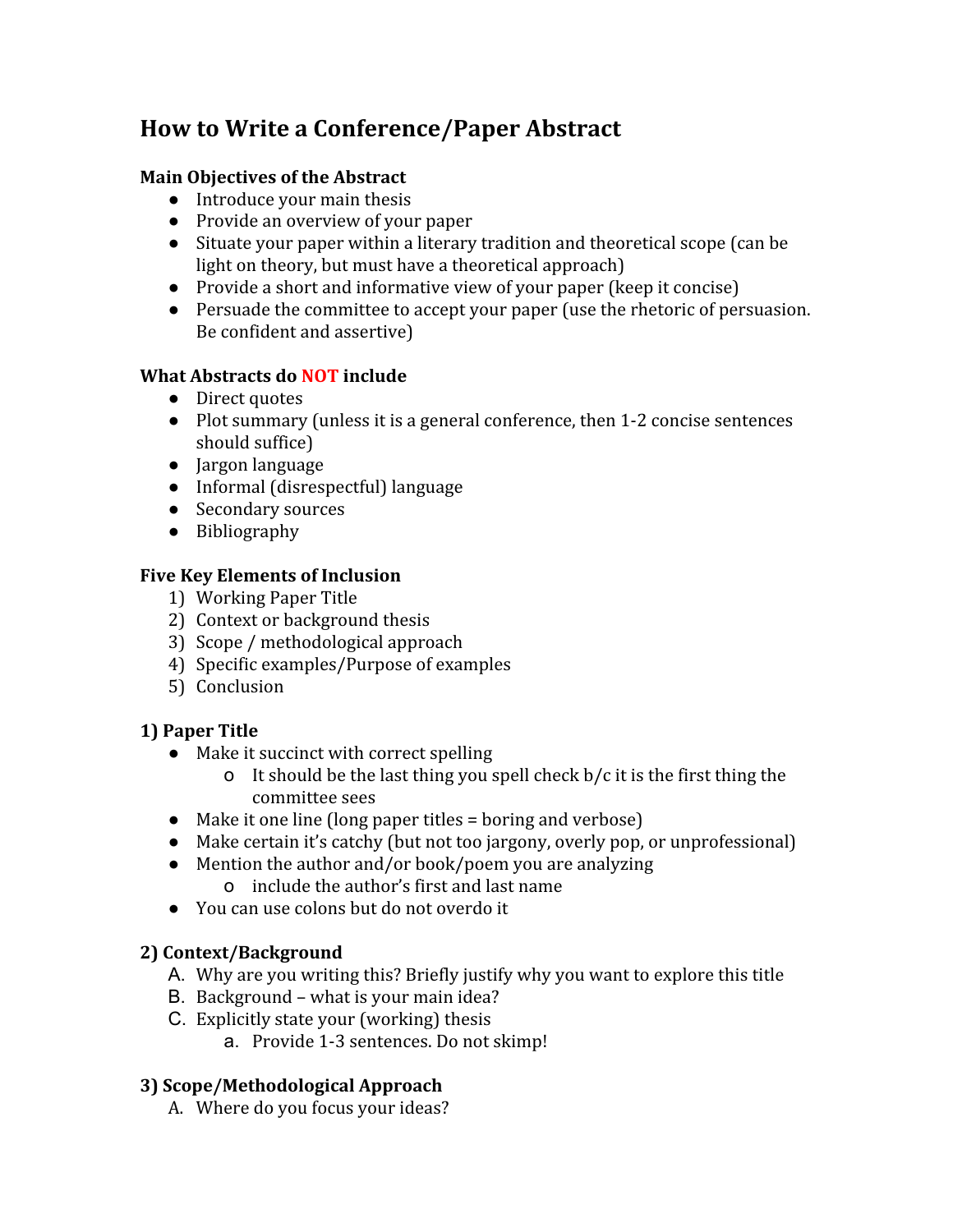# **How to Write a Conference/Paper Abstract**

#### **Main Objectives of the Abstract**

- Introduce your main thesis
- Provide an overview of your paper
- Situate your paper within a literary tradition and theoretical scope (can be light on theory, but must have a theoretical approach)
- Provide a short and informative view of your paper (keep it concise)
- Persuade the committee to accept your paper (use the rhetoric of persuasion. Be confident and assertive)

#### **What Abstracts do NOTinclude**

- Direct quotes
- Plot summary (unless it is a general conference, then 1-2 concise sentences should suffice)
- Jargon language
- Informal (disrespectful) language
- Secondary sources
- Bibliography

#### **Five Key Elements of Inclusion**

- 1) Working Paper Title
- 2) Context or background thesis
- 3) Scope / methodological approach
- 4) Specific examples/Purpose of examples
- 5) Conclusion

#### **1) Paper Title**

- Make it succinct with correct spelling
	- o It should be the last thing you spell check  $b/c$  it is the first thing the committee sees
- Make it one line (long paper titles = boring and verbose)
- Make certain it's catchy (but not too jargony, overly pop, or unprofessional)
- Mention the author and/or book/poem you are analyzing
	- o include the author's first and last name
- You can use colons but do not overdo it

#### **2) Context/Background**

- A. Why are you writing this? Briefly justify why you want to explore this title
- B. Background what is your main idea?
- C. Explicitly state your (working) thesis
	- a. Provide 1-3 sentences. Do not skimp!

#### **3) Scope/Methodological Approach**

A. Where do you focus your ideas?